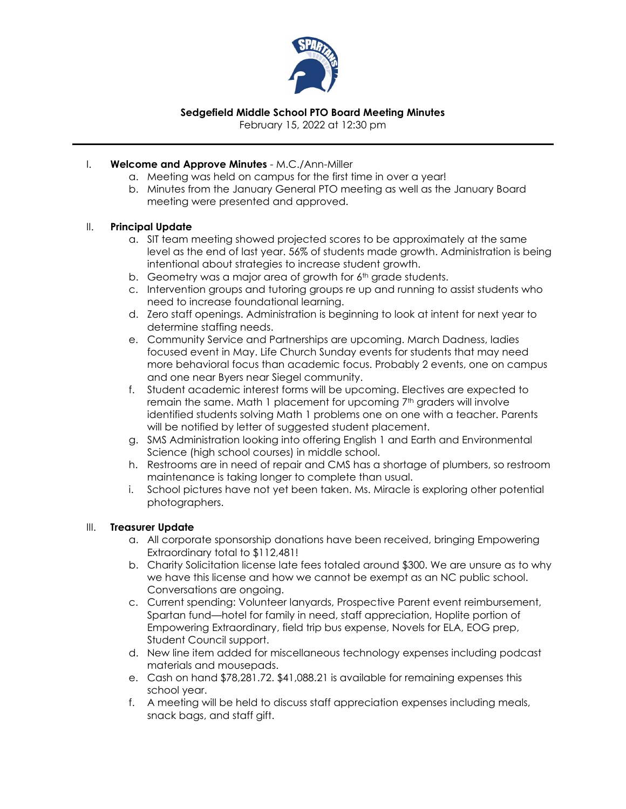

# **Sedgefield Middle School PTO Board Meeting Minutes**

February 15, 2022 at 12:30 pm

## I. **Welcome and Approve Minutes** - M.C./Ann-Miller

- a. Meeting was held on campus for the first time in over a year!
- b. Minutes from the January General PTO meeting as well as the January Board meeting were presented and approved.

### II. **Principal Update**

- a. SIT team meeting showed projected scores to be approximately at the same level as the end of last year. 56% of students made growth. Administration is being intentional about strategies to increase student growth.
- b. Geometry was a major area of growth for 6<sup>th</sup> grade students.
- c. Intervention groups and tutoring groups re up and running to assist students who need to increase foundational learning.
- d. Zero staff openings. Administration is beginning to look at intent for next year to determine staffing needs.
- e. Community Service and Partnerships are upcoming. March Dadness, ladies focused event in May. Life Church Sunday events for students that may need more behavioral focus than academic focus. Probably 2 events, one on campus and one near Byers near Siegel community.
- f. Student academic interest forms will be upcoming. Electives are expected to remain the same. Math 1 placement for upcoming  $7<sup>th</sup>$  graders will involve identified students solving Math 1 problems one on one with a teacher. Parents will be notified by letter of suggested student placement.
- g. SMS Administration looking into offering English 1 and Earth and Environmental Science (high school courses) in middle school.
- h. Restrooms are in need of repair and CMS has a shortage of plumbers, so restroom maintenance is taking longer to complete than usual.
- i. School pictures have not yet been taken. Ms. Miracle is exploring other potential photographers.

#### III. **Treasurer Update**

- a. All corporate sponsorship donations have been received, bringing Empowering Extraordinary total to \$112,481!
- b. Charity Solicitation license late fees totaled around \$300. We are unsure as to why we have this license and how we cannot be exempt as an NC public school. Conversations are ongoing.
- c. Current spending: Volunteer lanyards, Prospective Parent event reimbursement, Spartan fund—hotel for family in need, staff appreciation, Hoplite portion of Empowering Extraordinary, field trip bus expense, Novels for ELA, EOG prep, Student Council support.
- d. New line item added for miscellaneous technology expenses including podcast materials and mousepads.
- e. Cash on hand \$78,281.72. \$41,088.21 is available for remaining expenses this school year.
- f. A meeting will be held to discuss staff appreciation expenses including meals, snack bags, and staff gift.